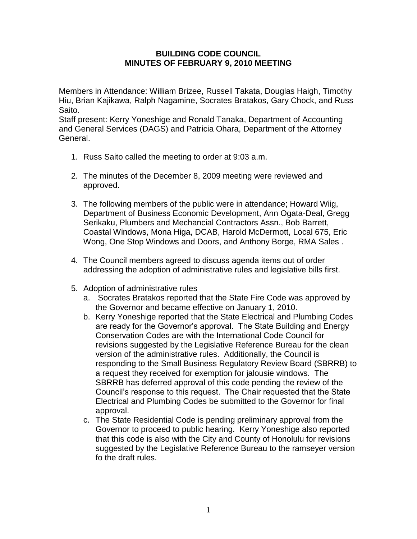## **BUILDING CODE COUNCIL MINUTES OF FEBRUARY 9, 2010 MEETING**

Members in Attendance: William Brizee, Russell Takata, Douglas Haigh, Timothy Hiu, Brian Kajikawa, Ralph Nagamine, Socrates Bratakos, Gary Chock, and Russ Saito.

Staff present: Kerry Yoneshige and Ronald Tanaka, Department of Accounting and General Services (DAGS) and Patricia Ohara, Department of the Attorney General.

- 1. Russ Saito called the meeting to order at 9:03 a.m.
- 2. The minutes of the December 8, 2009 meeting were reviewed and approved.
- 3. The following members of the public were in attendance; Howard Wiig, Department of Business Economic Development, Ann Ogata-Deal, Gregg Serikaku, Plumbers and Mechancial Contractors Assn., Bob Barrett, Coastal Windows, Mona Higa, DCAB, Harold McDermott, Local 675, Eric Wong, One Stop Windows and Doors, and Anthony Borge, RMA Sales .
- 4. The Council members agreed to discuss agenda items out of order addressing the adoption of administrative rules and legislative bills first.
- 5. Adoption of administrative rules
	- a. Socrates Bratakos reported that the State Fire Code was approved by the Governor and became effective on January 1, 2010.
	- b. Kerry Yoneshige reported that the State Electrical and Plumbing Codes are ready for the Governor's approval. The State Building and Energy Conservation Codes are with the International Code Council for revisions suggested by the Legislative Reference Bureau for the clean version of the administrative rules. Additionally, the Council is responding to the Small Business Regulatory Review Board (SBRRB) to a request they received for exemption for jalousie windows. The SBRRB has deferred approval of this code pending the review of the Council's response to this request. The Chair requested that the State Electrical and Plumbing Codes be submitted to the Governor for final approval.
	- c. The State Residential Code is pending preliminary approval from the Governor to proceed to public hearing. Kerry Yoneshige also reported that this code is also with the City and County of Honolulu for revisions suggested by the Legislative Reference Bureau to the ramseyer version fo the draft rules.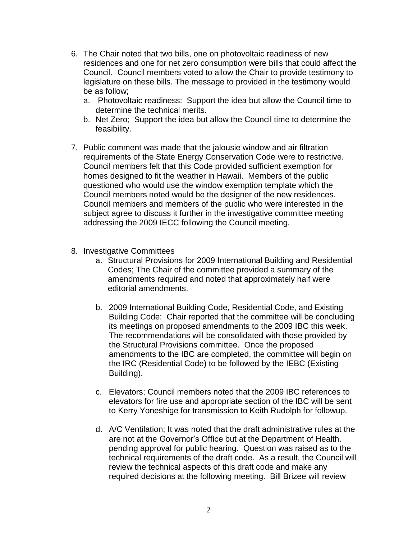- 6. The Chair noted that two bills, one on photovoltaic readiness of new residences and one for net zero consumption were bills that could affect the Council. Council members voted to allow the Chair to provide testimony to legislature on these bills. The message to provided in the testimony would be as follow;
	- a. Photovoltaic readiness: Support the idea but allow the Council time to determine the technical merits.
	- b. Net Zero; Support the idea but allow the Council time to determine the feasibility.
- 7. Public comment was made that the jalousie window and air filtration requirements of the State Energy Conservation Code were to restrictive. Council members felt that this Code provided sufficient exemption for homes designed to fit the weather in Hawaii. Members of the public questioned who would use the window exemption template which the Council members noted would be the designer of the new residences. Council members and members of the public who were interested in the subject agree to discuss it further in the investigative committee meeting addressing the 2009 IECC following the Council meeting.
- 8. Investigative Committees
	- a. Structural Provisions for 2009 International Building and Residential Codes; The Chair of the committee provided a summary of the amendments required and noted that approximately half were editorial amendments.
	- b. 2009 International Building Code, Residential Code, and Existing Building Code: Chair reported that the committee will be concluding its meetings on proposed amendments to the 2009 IBC this week. The recommendations will be consolidated with those provided by the Structural Provisions committee. Once the proposed amendments to the IBC are completed, the committee will begin on the IRC (Residential Code) to be followed by the IEBC (Existing Building).
	- c. Elevators; Council members noted that the 2009 IBC references to elevators for fire use and appropriate section of the IBC will be sent to Kerry Yoneshige for transmission to Keith Rudolph for followup.
	- d. A/C Ventilation; It was noted that the draft administrative rules at the are not at the Governor's Office but at the Department of Health. pending approval for public hearing. Question was raised as to the technical requirements of the draft code. As a result, the Council will review the technical aspects of this draft code and make any required decisions at the following meeting. Bill Brizee will review